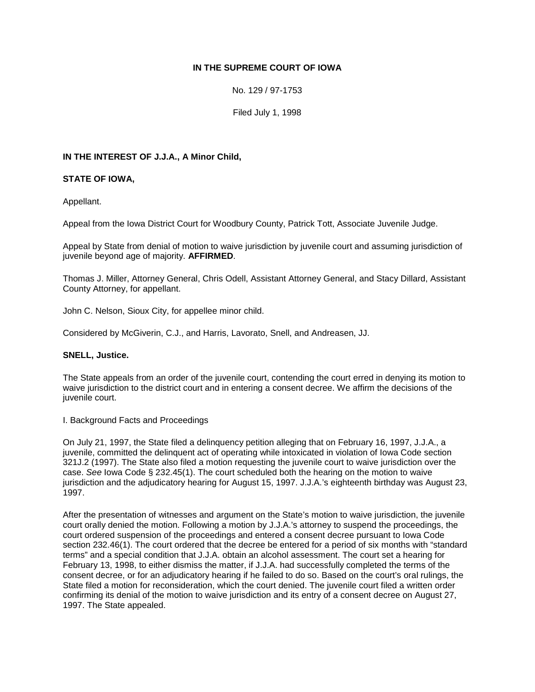# **IN THE SUPREME COURT OF IOWA**

No. 129 / 97-1753

Filed July 1, 1998

# **IN THE INTEREST OF J.J.A., A Minor Child,**

## **STATE OF IOWA,**

Appellant.

Appeal from the Iowa District Court for Woodbury County, Patrick Tott, Associate Juvenile Judge.

Appeal by State from denial of motion to waive jurisdiction by juvenile court and assuming jurisdiction of juvenile beyond age of majority. **AFFIRMED**.

Thomas J. Miller, Attorney General, Chris Odell, Assistant Attorney General, and Stacy Dillard, Assistant County Attorney, for appellant.

John C. Nelson, Sioux City, for appellee minor child.

Considered by McGiverin, C.J., and Harris, Lavorato, Snell, and Andreasen, JJ.

## **SNELL, Justice.**

The State appeals from an order of the juvenile court, contending the court erred in denying its motion to waive jurisdiction to the district court and in entering a consent decree. We affirm the decisions of the juvenile court.

I. Background Facts and Proceedings

On July 21, 1997, the State filed a delinquency petition alleging that on February 16, 1997, J.J.A., a juvenile, committed the delinquent act of operating while intoxicated in violation of Iowa Code section 321J.2 (1997). The State also filed a motion requesting the juvenile court to waive jurisdiction over the case. *See* Iowa Code § 232.45(1). The court scheduled both the hearing on the motion to waive jurisdiction and the adjudicatory hearing for August 15, 1997. J.J.A.'s eighteenth birthday was August 23, 1997.

After the presentation of witnesses and argument on the State's motion to waive jurisdiction, the juvenile court orally denied the motion. Following a motion by J.J.A.'s attorney to suspend the proceedings, the court ordered suspension of the proceedings and entered a consent decree pursuant to Iowa Code section 232.46(1). The court ordered that the decree be entered for a period of six months with "standard terms" and a special condition that J.J.A. obtain an alcohol assessment. The court set a hearing for February 13, 1998, to either dismiss the matter, if J.J.A. had successfully completed the terms of the consent decree, or for an adjudicatory hearing if he failed to do so. Based on the court's oral rulings, the State filed a motion for reconsideration, which the court denied. The juvenile court filed a written order confirming its denial of the motion to waive jurisdiction and its entry of a consent decree on August 27, 1997. The State appealed.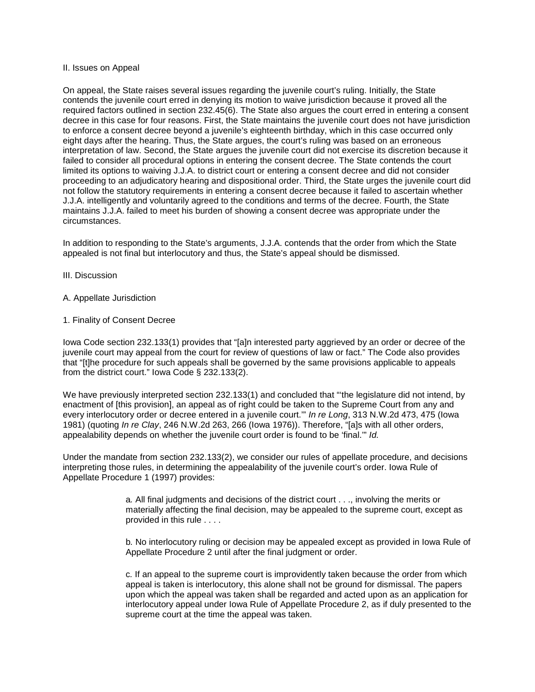#### II. Issues on Appeal

On appeal, the State raises several issues regarding the juvenile court's ruling. Initially, the State contends the juvenile court erred in denying its motion to waive jurisdiction because it proved all the required factors outlined in section 232.45(6). The State also argues the court erred in entering a consent decree in this case for four reasons. First, the State maintains the juvenile court does not have jurisdiction to enforce a consent decree beyond a juvenile's eighteenth birthday, which in this case occurred only eight days after the hearing. Thus, the State argues, the court's ruling was based on an erroneous interpretation of law. Second, the State argues the juvenile court did not exercise its discretion because it failed to consider all procedural options in entering the consent decree. The State contends the court limited its options to waiving J.J.A. to district court or entering a consent decree and did not consider proceeding to an adjudicatory hearing and dispositional order. Third, the State urges the juvenile court did not follow the statutory requirements in entering a consent decree because it failed to ascertain whether J.J.A. intelligently and voluntarily agreed to the conditions and terms of the decree. Fourth, the State maintains J.J.A. failed to meet his burden of showing a consent decree was appropriate under the circumstances.

In addition to responding to the State's arguments, J.J.A. contends that the order from which the State appealed is not final but interlocutory and thus, the State's appeal should be dismissed.

#### III. Discussion

## A. Appellate Jurisdiction

#### 1. Finality of Consent Decree

Iowa Code section 232.133(1) provides that "[a]n interested party aggrieved by an order or decree of the juvenile court may appeal from the court for review of questions of law or fact." The Code also provides that "[t]he procedure for such appeals shall be governed by the same provisions applicable to appeals from the district court." Iowa Code § 232.133(2).

We have previously interpreted section 232.133(1) and concluded that "the legislature did not intend, by enactment of [this provision], an appeal as of right could be taken to the Supreme Court from any and every interlocutory order or decree entered in a juvenile court.'" *In re Long*, 313 N.W.2d 473, 475 (Iowa 1981) (quoting *In re Clay*, 246 N.W.2d 263, 266 (Iowa 1976)). Therefore, "[a]s with all other orders, appealability depends on whether the juvenile court order is found to be 'final.'" *Id.*

Under the mandate from section 232.133(2), we consider our rules of appellate procedure, and decisions interpreting those rules, in determining the appealability of the juvenile court's order. Iowa Rule of Appellate Procedure 1 (1997) provides:

> a*.* All final judgments and decisions of the district court . . ., involving the merits or materially affecting the final decision, may be appealed to the supreme court, except as provided in this rule . . . .

b*.* No interlocutory ruling or decision may be appealed except as provided in Iowa Rule of Appellate Procedure 2 until after the final judgment or order.

c*.* If an appeal to the supreme court is improvidently taken because the order from which appeal is taken is interlocutory, this alone shall not be ground for dismissal. The papers upon which the appeal was taken shall be regarded and acted upon as an application for interlocutory appeal under Iowa Rule of Appellate Procedure 2, as if duly presented to the supreme court at the time the appeal was taken.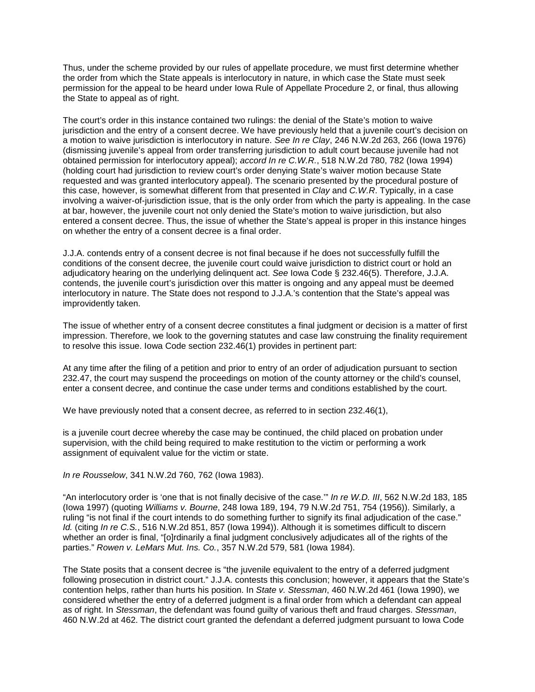Thus, under the scheme provided by our rules of appellate procedure, we must first determine whether the order from which the State appeals is interlocutory in nature, in which case the State must seek permission for the appeal to be heard under Iowa Rule of Appellate Procedure 2, or final, thus allowing the State to appeal as of right.

The court's order in this instance contained two rulings: the denial of the State's motion to waive jurisdiction and the entry of a consent decree. We have previously held that a juvenile court's decision on a motion to waive jurisdiction is interlocutory in nature. *See In re Clay*, 246 N.W.2d 263, 266 (Iowa 1976) (dismissing juvenile's appeal from order transferring jurisdiction to adult court because juvenile had not obtained permission for interlocutory appeal); *accord In re C.W.R.*, 518 N.W.2d 780, 782 (Iowa 1994) (holding court had jurisdiction to review court's order denying State's waiver motion because State requested and was granted interlocutory appeal). The scenario presented by the procedural posture of this case, however, is somewhat different from that presented in *Clay* and *C.W.R*. Typically, in a case involving a waiver-of-jurisdiction issue, that is the only order from which the party is appealing. In the case at bar, however, the juvenile court not only denied the State's motion to waive jurisdiction, but also entered a consent decree. Thus, the issue of whether the State's appeal is proper in this instance hinges on whether the entry of a consent decree is a final order.

J.J.A. contends entry of a consent decree is not final because if he does not successfully fulfill the conditions of the consent decree, the juvenile court could waive jurisdiction to district court or hold an adjudicatory hearing on the underlying delinquent act. *See* Iowa Code § 232.46(5). Therefore, J.J.A. contends, the juvenile court's jurisdiction over this matter is ongoing and any appeal must be deemed interlocutory in nature. The State does not respond to J.J.A.'s contention that the State's appeal was improvidently taken.

The issue of whether entry of a consent decree constitutes a final judgment or decision is a matter of first impression. Therefore, we look to the governing statutes and case law construing the finality requirement to resolve this issue. Iowa Code section 232.46(1) provides in pertinent part:

At any time after the filing of a petition and prior to entry of an order of adjudication pursuant to section 232.47, the court may suspend the proceedings on motion of the county attorney or the child's counsel, enter a consent decree, and continue the case under terms and conditions established by the court.

We have previously noted that a consent decree, as referred to in section 232.46(1),

is a juvenile court decree whereby the case may be continued, the child placed on probation under supervision, with the child being required to make restitution to the victim or performing a work assignment of equivalent value for the victim or state.

*In re Rousselow*, 341 N.W.2d 760, 762 (Iowa 1983).

"An interlocutory order is 'one that is not finally decisive of the case.'" *In re W.D. III*, 562 N.W.2d 183, 185 (Iowa 1997) (quoting *Williams v. Bourne*, 248 Iowa 189, 194, 79 N.W.2d 751, 754 (1956)). Similarly, a ruling "is not final if the court intends to do something further to signify its final adjudication of the case." *Id.* (citing *In re C.S.*, 516 N.W.2d 851, 857 (Iowa 1994)). Although it is sometimes difficult to discern whether an order is final, "[o]rdinarily a final judgment conclusively adjudicates all of the rights of the parties." *Rowen v. LeMars Mut. Ins. Co.*, 357 N.W.2d 579, 581 (Iowa 1984).

The State posits that a consent decree is "the juvenile equivalent to the entry of a deferred judgment following prosecution in district court." J.J.A. contests this conclusion; however, it appears that the State's contention helps, rather than hurts his position. In *State v. Stessman*, 460 N.W.2d 461 (Iowa 1990), we considered whether the entry of a deferred judgment is a final order from which a defendant can appeal as of right. In *Stessman*, the defendant was found guilty of various theft and fraud charges. *Stessman*, 460 N.W.2d at 462. The district court granted the defendant a deferred judgment pursuant to Iowa Code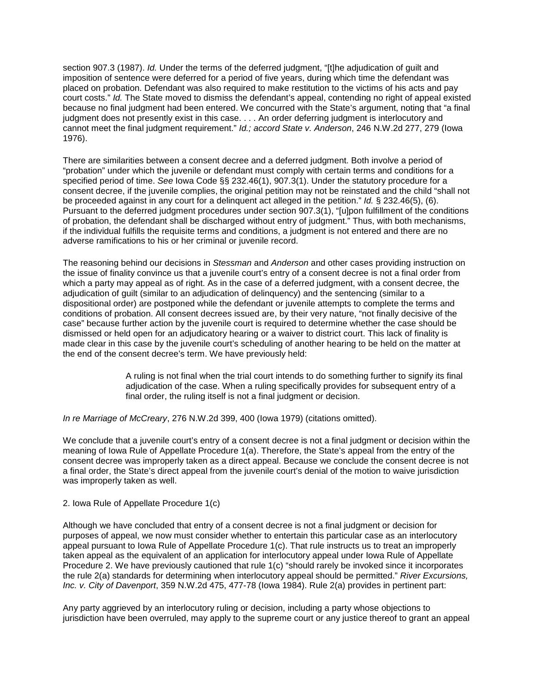section 907.3 (1987). *Id.* Under the terms of the deferred judgment, "[t]he adjudication of guilt and imposition of sentence were deferred for a period of five years, during which time the defendant was placed on probation. Defendant was also required to make restitution to the victims of his acts and pay court costs." *Id.* The State moved to dismiss the defendant's appeal, contending no right of appeal existed because no final judgment had been entered. We concurred with the State's argument, noting that "a final judgment does not presently exist in this case. . . . An order deferring judgment is interlocutory and cannot meet the final judgment requirement." *Id.; accord State v. Anderson*, 246 N.W.2d 277, 279 (Iowa 1976).

There are similarities between a consent decree and a deferred judgment. Both involve a period of "probation" under which the juvenile or defendant must comply with certain terms and conditions for a specified period of time. *See* Iowa Code §§ 232.46(1), 907.3(1). Under the statutory procedure for a consent decree, if the juvenile complies, the original petition may not be reinstated and the child "shall not be proceeded against in any court for a delinquent act alleged in the petition." *Id.* § 232.46(5), (6). Pursuant to the deferred judgment procedures under section 907.3(1), "[u]pon fulfillment of the conditions of probation, the defendant shall be discharged without entry of judgment." Thus, with both mechanisms, if the individual fulfills the requisite terms and conditions, a judgment is not entered and there are no adverse ramifications to his or her criminal or juvenile record.

The reasoning behind our decisions in *Stessman* and *Anderson* and other cases providing instruction on the issue of finality convince us that a juvenile court's entry of a consent decree is not a final order from which a party may appeal as of right. As in the case of a deferred judgment, with a consent decree, the adjudication of guilt (similar to an adjudication of delinquency) and the sentencing (similar to a dispositional order) are postponed while the defendant or juvenile attempts to complete the terms and conditions of probation. All consent decrees issued are, by their very nature, "not finally decisive of the case" because further action by the juvenile court is required to determine whether the case should be dismissed or held open for an adjudicatory hearing or a waiver to district court. This lack of finality is made clear in this case by the juvenile court's scheduling of another hearing to be held on the matter at the end of the consent decree's term. We have previously held:

> A ruling is not final when the trial court intends to do something further to signify its final adjudication of the case. When a ruling specifically provides for subsequent entry of a final order, the ruling itself is not a final judgment or decision.

*In re Marriage of McCreary*, 276 N.W.2d 399, 400 (Iowa 1979) (citations omitted).

We conclude that a juvenile court's entry of a consent decree is not a final judgment or decision within the meaning of Iowa Rule of Appellate Procedure 1(a). Therefore, the State's appeal from the entry of the consent decree was improperly taken as a direct appeal. Because we conclude the consent decree is not a final order, the State's direct appeal from the juvenile court's denial of the motion to waive jurisdiction was improperly taken as well.

## 2. Iowa Rule of Appellate Procedure 1(c)

Although we have concluded that entry of a consent decree is not a final judgment or decision for purposes of appeal, we now must consider whether to entertain this particular case as an interlocutory appeal pursuant to Iowa Rule of Appellate Procedure 1(c). That rule instructs us to treat an improperly taken appeal as the equivalent of an application for interlocutory appeal under Iowa Rule of Appellate Procedure 2. We have previously cautioned that rule 1(c) "should rarely be invoked since it incorporates the rule 2(a) standards for determining when interlocutory appeal should be permitted." *River Excursions, Inc. v. City of Davenport*, 359 N.W.2d 475, 477-78 (Iowa 1984). Rule 2(a) provides in pertinent part:

Any party aggrieved by an interlocutory ruling or decision, including a party whose objections to jurisdiction have been overruled, may apply to the supreme court or any justice thereof to grant an appeal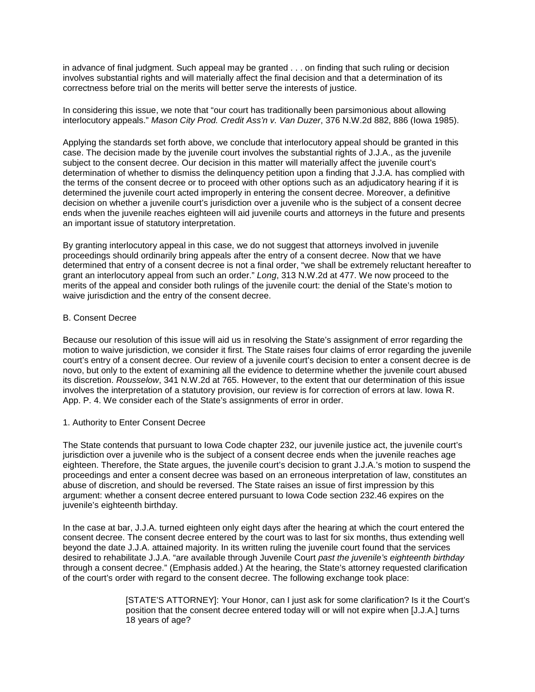in advance of final judgment. Such appeal may be granted . . . on finding that such ruling or decision involves substantial rights and will materially affect the final decision and that a determination of its correctness before trial on the merits will better serve the interests of justice.

In considering this issue, we note that "our court has traditionally been parsimonious about allowing interlocutory appeals." *Mason City Prod. Credit Ass'n v. Van Duzer*, 376 N.W.2d 882, 886 (Iowa 1985).

Applying the standards set forth above, we conclude that interlocutory appeal should be granted in this case. The decision made by the juvenile court involves the substantial rights of J.J.A., as the juvenile subject to the consent decree. Our decision in this matter will materially affect the juvenile court's determination of whether to dismiss the delinquency petition upon a finding that J.J.A. has complied with the terms of the consent decree or to proceed with other options such as an adjudicatory hearing if it is determined the juvenile court acted improperly in entering the consent decree. Moreover, a definitive decision on whether a juvenile court's jurisdiction over a juvenile who is the subject of a consent decree ends when the juvenile reaches eighteen will aid juvenile courts and attorneys in the future and presents an important issue of statutory interpretation.

By granting interlocutory appeal in this case, we do not suggest that attorneys involved in juvenile proceedings should ordinarily bring appeals after the entry of a consent decree. Now that we have determined that entry of a consent decree is not a final order, "we shall be extremely reluctant hereafter to grant an interlocutory appeal from such an order." *Long*, 313 N.W.2d at 477. We now proceed to the merits of the appeal and consider both rulings of the juvenile court: the denial of the State's motion to waive jurisdiction and the entry of the consent decree.

## B. Consent Decree

Because our resolution of this issue will aid us in resolving the State's assignment of error regarding the motion to waive jurisdiction, we consider it first. The State raises four claims of error regarding the juvenile court's entry of a consent decree. Our review of a juvenile court's decision to enter a consent decree is de novo, but only to the extent of examining all the evidence to determine whether the juvenile court abused its discretion. *Rousselow*, 341 N.W.2d at 765. However, to the extent that our determination of this issue involves the interpretation of a statutory provision, our review is for correction of errors at law. Iowa R. App. P. 4. We consider each of the State's assignments of error in order.

# 1. Authority to Enter Consent Decree

The State contends that pursuant to Iowa Code chapter 232, our juvenile justice act, the juvenile court's jurisdiction over a juvenile who is the subject of a consent decree ends when the juvenile reaches age eighteen. Therefore, the State argues, the juvenile court's decision to grant J.J.A.'s motion to suspend the proceedings and enter a consent decree was based on an erroneous interpretation of law, constitutes an abuse of discretion, and should be reversed. The State raises an issue of first impression by this argument: whether a consent decree entered pursuant to Iowa Code section 232.46 expires on the juvenile's eighteenth birthday.

In the case at bar, J.J.A. turned eighteen only eight days after the hearing at which the court entered the consent decree. The consent decree entered by the court was to last for six months, thus extending well beyond the date J.J.A. attained majority. In its written ruling the juvenile court found that the services desired to rehabilitate J.J.A. "are available through Juvenile Court *past the juvenile's eighteenth birthday* through a consent decree." (Emphasis added.) At the hearing, the State's attorney requested clarification of the court's order with regard to the consent decree. The following exchange took place:

> [STATE'S ATTORNEY]: Your Honor, can I just ask for some clarification? Is it the Court's position that the consent decree entered today will or will not expire when [J.J.A.] turns 18 years of age?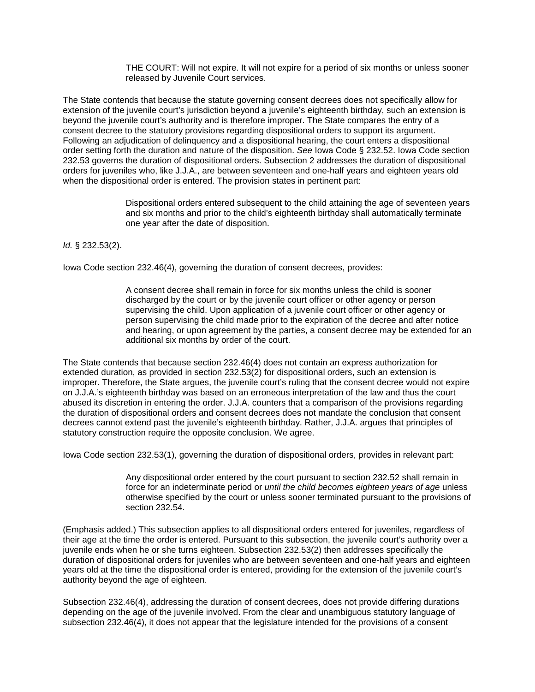THE COURT: Will not expire. It will not expire for a period of six months or unless sooner released by Juvenile Court services.

The State contends that because the statute governing consent decrees does not specifically allow for extension of the juvenile court's jurisdiction beyond a juvenile's eighteenth birthday, such an extension is beyond the juvenile court's authority and is therefore improper. The State compares the entry of a consent decree to the statutory provisions regarding dispositional orders to support its argument. Following an adjudication of delinquency and a dispositional hearing, the court enters a dispositional order setting forth the duration and nature of the disposition. *See* Iowa Code § 232.52. Iowa Code section 232.53 governs the duration of dispositional orders. Subsection 2 addresses the duration of dispositional orders for juveniles who, like J.J.A., are between seventeen and one-half years and eighteen years old when the dispositional order is entered. The provision states in pertinent part:

> Dispositional orders entered subsequent to the child attaining the age of seventeen years and six months and prior to the child's eighteenth birthday shall automatically terminate one year after the date of disposition.

*Id.* § 232.53(2).

Iowa Code section 232.46(4), governing the duration of consent decrees, provides:

A consent decree shall remain in force for six months unless the child is sooner discharged by the court or by the juvenile court officer or other agency or person supervising the child. Upon application of a juvenile court officer or other agency or person supervising the child made prior to the expiration of the decree and after notice and hearing, or upon agreement by the parties, a consent decree may be extended for an additional six months by order of the court.

The State contends that because section 232.46(4) does not contain an express authorization for extended duration, as provided in section 232.53(2) for dispositional orders, such an extension is improper. Therefore, the State argues, the juvenile court's ruling that the consent decree would not expire on J.J.A.'s eighteenth birthday was based on an erroneous interpretation of the law and thus the court abused its discretion in entering the order. J.J.A. counters that a comparison of the provisions regarding the duration of dispositional orders and consent decrees does not mandate the conclusion that consent decrees cannot extend past the juvenile's eighteenth birthday. Rather, J.J.A. argues that principles of statutory construction require the opposite conclusion. We agree.

Iowa Code section 232.53(1), governing the duration of dispositional orders, provides in relevant part:

Any dispositional order entered by the court pursuant to section 232.52 shall remain in force for an indeterminate period or *until the child becomes eighteen years of age* unless otherwise specified by the court or unless sooner terminated pursuant to the provisions of section 232.54.

(Emphasis added.) This subsection applies to all dispositional orders entered for juveniles, regardless of their age at the time the order is entered. Pursuant to this subsection, the juvenile court's authority over a juvenile ends when he or she turns eighteen. Subsection 232.53(2) then addresses specifically the duration of dispositional orders for juveniles who are between seventeen and one-half years and eighteen years old at the time the dispositional order is entered, providing for the extension of the juvenile court's authority beyond the age of eighteen.

Subsection 232.46(4), addressing the duration of consent decrees, does not provide differing durations depending on the age of the juvenile involved. From the clear and unambiguous statutory language of subsection 232.46(4), it does not appear that the legislature intended for the provisions of a consent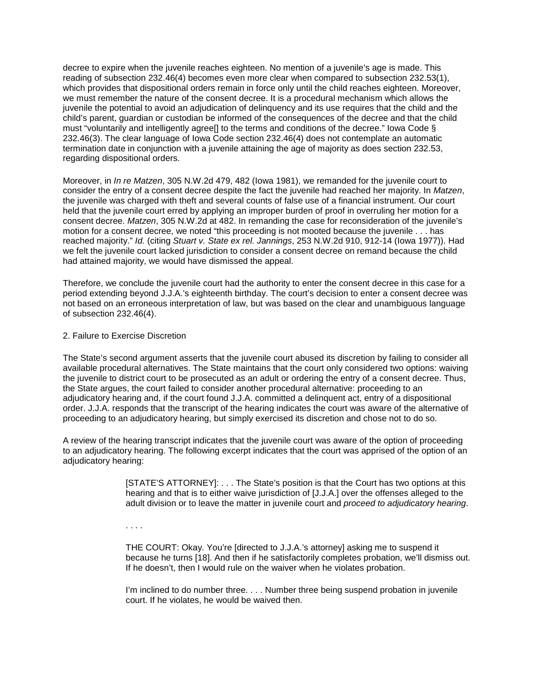decree to expire when the juvenile reaches eighteen. No mention of a juvenile's age is made. This reading of subsection 232.46(4) becomes even more clear when compared to subsection 232.53(1), which provides that dispositional orders remain in force only until the child reaches eighteen. Moreover, we must remember the nature of the consent decree. It is a procedural mechanism which allows the juvenile the potential to avoid an adjudication of delinquency and its use requires that the child and the child's parent, guardian or custodian be informed of the consequences of the decree and that the child must "voluntarily and intelligently agree[] to the terms and conditions of the decree." Iowa Code § 232.46(3). The clear language of Iowa Code section 232.46(4) does not contemplate an automatic termination date in conjunction with a juvenile attaining the age of majority as does section 232.53, regarding dispositional orders.

Moreover, in *In re Matzen*, 305 N.W.2d 479, 482 (Iowa 1981), we remanded for the juvenile court to consider the entry of a consent decree despite the fact the juvenile had reached her majority. In *Matzen*, the juvenile was charged with theft and several counts of false use of a financial instrument. Our court held that the juvenile court erred by applying an improper burden of proof in overruling her motion for a consent decree. *Matzen*, 305 N.W.2d at 482. In remanding the case for reconsideration of the juvenile's motion for a consent decree, we noted "this proceeding is not mooted because the juvenile . . . has reached majority." *Id.* (citing *Stuart v. State ex rel. Jannings*, 253 N.W.2d 910, 912-14 (Iowa 1977)). Had we felt the juvenile court lacked jurisdiction to consider a consent decree on remand because the child had attained majority, we would have dismissed the appeal.

Therefore, we conclude the juvenile court had the authority to enter the consent decree in this case for a period extending beyond J.J.A.'s eighteenth birthday. The court's decision to enter a consent decree was not based on an erroneous interpretation of law, but was based on the clear and unambiguous language of subsection 232.46(4).

#### 2. Failure to Exercise Discretion

The State's second argument asserts that the juvenile court abused its discretion by failing to consider all available procedural alternatives. The State maintains that the court only considered two options: waiving the juvenile to district court to be prosecuted as an adult or ordering the entry of a consent decree. Thus, the State argues, the court failed to consider another procedural alternative: proceeding to an adjudicatory hearing and, if the court found J.J.A. committed a delinquent act, entry of a dispositional order. J.J.A. responds that the transcript of the hearing indicates the court was aware of the alternative of proceeding to an adjudicatory hearing, but simply exercised its discretion and chose not to do so.

A review of the hearing transcript indicates that the juvenile court was aware of the option of proceeding to an adjudicatory hearing. The following excerpt indicates that the court was apprised of the option of an adjudicatory hearing:

> [STATE'S ATTORNEY]: . . . The State's position is that the Court has two options at this hearing and that is to either waive jurisdiction of [J.J.A.] over the offenses alleged to the adult division or to leave the matter in juvenile court and *proceed to adjudicatory hearing*.

. . . .

THE COURT: Okay. You're [directed to J.J.A.'s attorney] asking me to suspend it because he turns [18]. And then if he satisfactorily completes probation, we'll dismiss out. If he doesn't, then I would rule on the waiver when he violates probation.

I'm inclined to do number three. . . . Number three being suspend probation in juvenile court. If he violates, he would be waived then.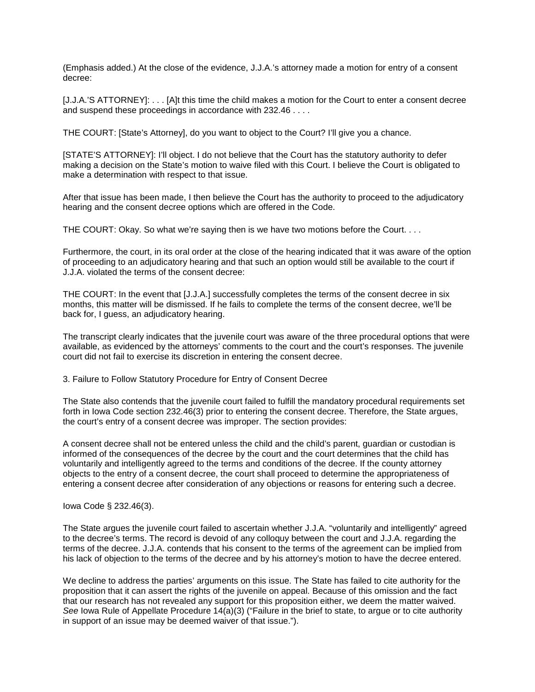(Emphasis added.) At the close of the evidence, J.J.A.'s attorney made a motion for entry of a consent decree:

[J.J.A.'S ATTORNEY]: . . . [A]t this time the child makes a motion for the Court to enter a consent decree and suspend these proceedings in accordance with 232.46 . . . .

THE COURT: [State's Attorney], do you want to object to the Court? I'll give you a chance.

[STATE'S ATTORNEY]: I'll object. I do not believe that the Court has the statutory authority to defer making a decision on the State's motion to waive filed with this Court. I believe the Court is obligated to make a determination with respect to that issue.

After that issue has been made, I then believe the Court has the authority to proceed to the adjudicatory hearing and the consent decree options which are offered in the Code.

THE COURT: Okay. So what we're saying then is we have two motions before the Court. . . .

Furthermore, the court, in its oral order at the close of the hearing indicated that it was aware of the option of proceeding to an adjudicatory hearing and that such an option would still be available to the court if J.J.A. violated the terms of the consent decree:

THE COURT: In the event that [J.J.A.] successfully completes the terms of the consent decree in six months, this matter will be dismissed. If he fails to complete the terms of the consent decree, we'll be back for, I guess, an adjudicatory hearing.

The transcript clearly indicates that the juvenile court was aware of the three procedural options that were available, as evidenced by the attorneys' comments to the court and the court's responses. The juvenile court did not fail to exercise its discretion in entering the consent decree.

3. Failure to Follow Statutory Procedure for Entry of Consent Decree

The State also contends that the juvenile court failed to fulfill the mandatory procedural requirements set forth in Iowa Code section 232.46(3) prior to entering the consent decree. Therefore, the State argues, the court's entry of a consent decree was improper. The section provides:

A consent decree shall not be entered unless the child and the child's parent, guardian or custodian is informed of the consequences of the decree by the court and the court determines that the child has voluntarily and intelligently agreed to the terms and conditions of the decree. If the county attorney objects to the entry of a consent decree, the court shall proceed to determine the appropriateness of entering a consent decree after consideration of any objections or reasons for entering such a decree.

Iowa Code § 232.46(3).

The State argues the juvenile court failed to ascertain whether J.J.A. "voluntarily and intelligently" agreed to the decree's terms. The record is devoid of any colloquy between the court and J.J.A. regarding the terms of the decree. J.J.A. contends that his consent to the terms of the agreement can be implied from his lack of objection to the terms of the decree and by his attorney's motion to have the decree entered.

We decline to address the parties' arguments on this issue. The State has failed to cite authority for the proposition that it can assert the rights of the juvenile on appeal. Because of this omission and the fact that our research has not revealed any support for this proposition either, we deem the matter waived. *See* Iowa Rule of Appellate Procedure 14(a)(3) ("Failure in the brief to state, to argue or to cite authority in support of an issue may be deemed waiver of that issue.").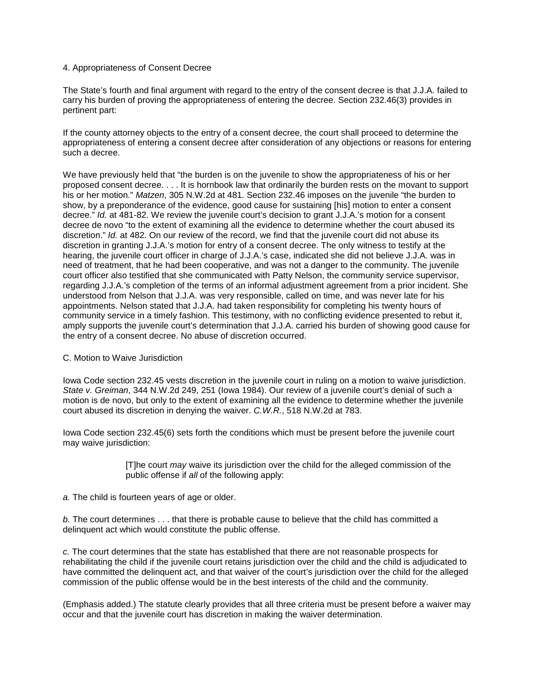## 4. Appropriateness of Consent Decree

The State's fourth and final argument with regard to the entry of the consent decree is that J.J.A. failed to carry his burden of proving the appropriateness of entering the decree. Section 232.46(3) provides in pertinent part:

If the county attorney objects to the entry of a consent decree, the court shall proceed to determine the appropriateness of entering a consent decree after consideration of any objections or reasons for entering such a decree.

We have previously held that "the burden is on the juvenile to show the appropriateness of his or her proposed consent decree. . . . It is hornbook law that ordinarily the burden rests on the movant to support his or her motion." *Matzen*, 305 N.W.2d at 481. Section 232.46 imposes on the juvenile "the burden to show, by a preponderance of the evidence, good cause for sustaining [his] motion to enter a consent decree." *Id.* at 481-82. We review the juvenile court's decision to grant J.J.A.'s motion for a consent decree de novo "to the extent of examining all the evidence to determine whether the court abused its discretion." *Id.* at 482. On our review of the record, we find that the juvenile court did not abuse its discretion in granting J.J.A.'s motion for entry of a consent decree. The only witness to testify at the hearing, the juvenile court officer in charge of J.J.A.'s case, indicated she did not believe J.J.A. was in need of treatment, that he had been cooperative, and was not a danger to the community. The juvenile court officer also testified that she communicated with Patty Nelson, the community service supervisor, regarding J.J.A.'s completion of the terms of an informal adjustment agreement from a prior incident. She understood from Nelson that J.J.A. was very responsible, called on time, and was never late for his appointments. Nelson stated that J.J.A. had taken responsibility for completing his twenty hours of community service in a timely fashion. This testimony, with no conflicting evidence presented to rebut it, amply supports the juvenile court's determination that J.J.A. carried his burden of showing good cause for the entry of a consent decree. No abuse of discretion occurred.

## C. Motion to Waive Jurisdiction

Iowa Code section 232.45 vests discretion in the juvenile court in ruling on a motion to waive jurisdiction. *State v. Greiman*, 344 N.W.2d 249, 251 (Iowa 1984). Our review of a juvenile court's denial of such a motion is de novo, but only to the extent of examining all the evidence to determine whether the juvenile court abused its discretion in denying the waiver. *C.W.R.*, 518 N.W.2d at 783.

Iowa Code section 232.45(6) sets forth the conditions which must be present before the juvenile court may waive jurisdiction:

> [T]he court *may* waive its jurisdiction over the child for the alleged commission of the public offense if *all* of the following apply:

*a.* The child is fourteen years of age or older.

*b.* The court determines . . . that there is probable cause to believe that the child has committed a delinquent act which would constitute the public offense.

*c.* The court determines that the state has established that there are not reasonable prospects for rehabilitating the child if the juvenile court retains jurisdiction over the child and the child is adjudicated to have committed the delinquent act, and that waiver of the court's jurisdiction over the child for the alleged commission of the public offense would be in the best interests of the child and the community.

(Emphasis added.) The statute clearly provides that all three criteria must be present before a waiver may occur and that the juvenile court has discretion in making the waiver determination.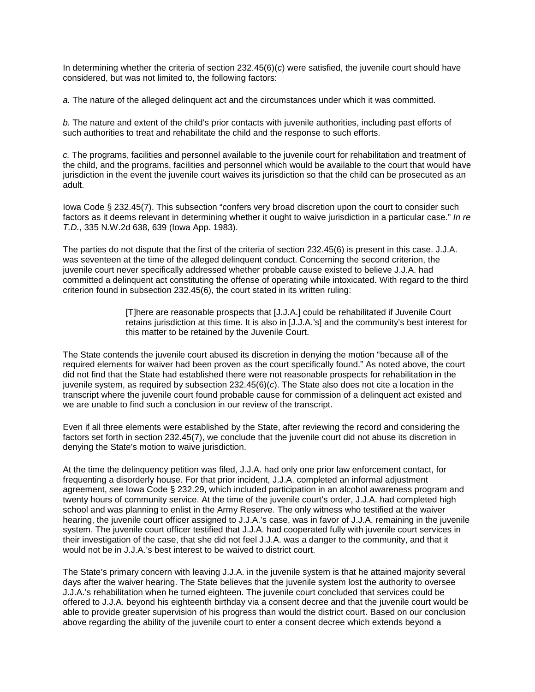In determining whether the criteria of section 232.45(6)(*c*) were satisfied, the juvenile court should have considered, but was not limited to, the following factors:

*a.* The nature of the alleged delinquent act and the circumstances under which it was committed.

*b.* The nature and extent of the child's prior contacts with juvenile authorities, including past efforts of such authorities to treat and rehabilitate the child and the response to such efforts.

*c.* The programs, facilities and personnel available to the juvenile court for rehabilitation and treatment of the child, and the programs, facilities and personnel which would be available to the court that would have jurisdiction in the event the juvenile court waives its jurisdiction so that the child can be prosecuted as an adult.

Iowa Code § 232.45(7). This subsection "confers very broad discretion upon the court to consider such factors as it deems relevant in determining whether it ought to waive jurisdiction in a particular case." *In re T.D.*, 335 N.W.2d 638, 639 (Iowa App. 1983).

The parties do not dispute that the first of the criteria of section 232.45(6) is present in this case. J.J.A. was seventeen at the time of the alleged delinquent conduct. Concerning the second criterion, the juvenile court never specifically addressed whether probable cause existed to believe J.J.A. had committed a delinquent act constituting the offense of operating while intoxicated. With regard to the third criterion found in subsection 232.45(6), the court stated in its written ruling:

> [T]here are reasonable prospects that [J.J.A.] could be rehabilitated if Juvenile Court retains jurisdiction at this time. It is also in [J.J.A.'s] and the community's best interest for this matter to be retained by the Juvenile Court.

The State contends the juvenile court abused its discretion in denying the motion "because all of the required elements for waiver had been proven as the court specifically found." As noted above, the court did not find that the State had established there were not reasonable prospects for rehabilitation in the juvenile system, as required by subsection 232.45(6)(*c*). The State also does not cite a location in the transcript where the juvenile court found probable cause for commission of a delinquent act existed and we are unable to find such a conclusion in our review of the transcript.

Even if all three elements were established by the State, after reviewing the record and considering the factors set forth in section 232.45(7), we conclude that the juvenile court did not abuse its discretion in denying the State's motion to waive jurisdiction.

At the time the delinquency petition was filed, J.J.A. had only one prior law enforcement contact, for frequenting a disorderly house. For that prior incident, J.J.A. completed an informal adjustment agreement, *see* Iowa Code § 232.29, which included participation in an alcohol awareness program and twenty hours of community service. At the time of the juvenile court's order, J.J.A. had completed high school and was planning to enlist in the Army Reserve. The only witness who testified at the waiver hearing, the juvenile court officer assigned to J.J.A.'s case, was in favor of J.J.A. remaining in the juvenile system. The juvenile court officer testified that J.J.A. had cooperated fully with juvenile court services in their investigation of the case, that she did not feel J.J.A. was a danger to the community, and that it would not be in J.J.A.'s best interest to be waived to district court.

The State's primary concern with leaving J.J.A. in the juvenile system is that he attained majority several days after the waiver hearing. The State believes that the juvenile system lost the authority to oversee J.J.A.'s rehabilitation when he turned eighteen. The juvenile court concluded that services could be offered to J.J.A. beyond his eighteenth birthday via a consent decree and that the juvenile court would be able to provide greater supervision of his progress than would the district court. Based on our conclusion above regarding the ability of the juvenile court to enter a consent decree which extends beyond a